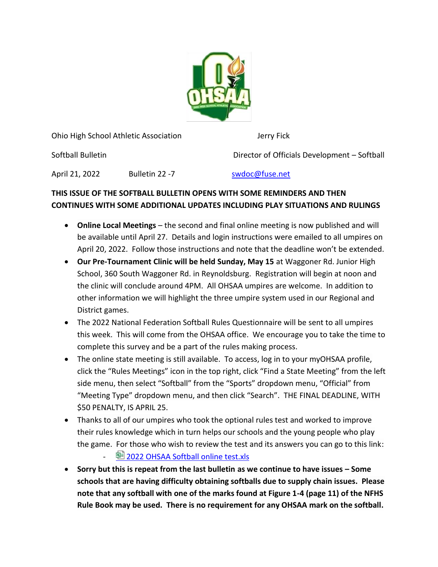

Ohio High School Athletic Association Jerry Fick

Softball Bulletin Director of Officials Development – Softball

April 21, 2022 Bulletin 22 -7 Swdoc@fuse.net

## **THIS ISSUE OF THE SOFTBALL BULLETIN OPENS WITH SOME REMINDERS AND THEN CONTINUES WITH SOME ADDITIONAL UPDATES INCLUDING PLAY SITUATIONS AND RULINGS**

- **Online Local Meetings** the second and final online meeting is now published and will be available until April 27. Details and login instructions were emailed to all umpires on April 20, 2022. Follow those instructions and note that the deadline won't be extended.
- **Our Pre-Tournament Clinic will be held Sunday, May 15** at Waggoner Rd. Junior High School, 360 South Waggoner Rd. in Reynoldsburg. Registration will begin at noon and the clinic will conclude around 4PM. All OHSAA umpires are welcome. In addition to other information we will highlight the three umpire system used in our Regional and District games.
- The 2022 National Federation Softball Rules Questionnaire will be sent to all umpires this week. This will come from the OHSAA office. We encourage you to take the time to complete this survey and be a part of the rules making process.
- The online state meeting is still available. To access, log in to your myOHSAA profile, click the "Rules Meetings" icon in the top right, click "Find a State Meeting" from the left side menu, then select "Softball" from the "Sports" dropdown menu, "Official" from "Meeting Type" dropdown menu, and then click "Search". THE FINAL DEADLINE, WITH \$50 PENALTY, IS APRIL 25.
- Thanks to all of our umpires who took the optional rules test and worked to improve their rules knowledge which in turn helps our schools and the young people who play the game. For those who wish to review the test and its answers you can go to this link:
	- <sup>国</sup> [2022 OHSAA Softball online test.xls](https://ohsaa-my.sharepoint.com/:x:/g/personal/tbrooks_ohsaa_org/ETEKpLIjUchHk7rwTvYMpZUBx8pAcslwSHOG8OLIwtxpQQ?e=uZRDzz)
- **Sorry but this is repeat from the last bulletin as we continue to have issues – Some schools that are having difficulty obtaining softballs due to supply chain issues. Please note that any softball with one of the marks found at Figure 1-4 (page 11) of the NFHS Rule Book may be used. There is no requirement for any OHSAA mark on the softball.**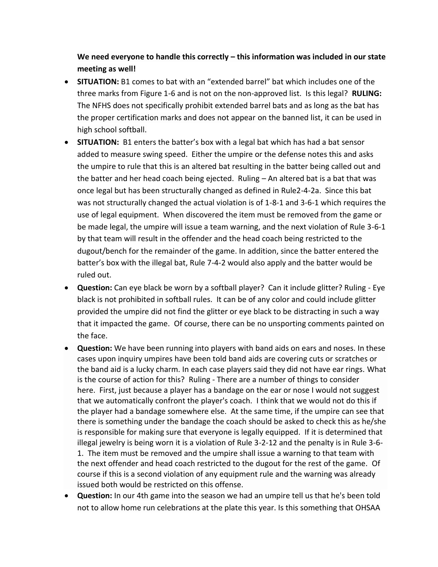**We need everyone to handle this correctly – this information was included in our state meeting as well!**

- **SITUATION:** B1 comes to bat with an "extended barrel" bat which includes one of the three marks from Figure 1-6 and is not on the non-approved list. Is this legal? **RULING:**  The NFHS does not specifically prohibit extended barrel bats and as long as the bat has the proper certification marks and does not appear on the banned list, it can be used in high school softball.
- **SITUATION:** B1 enters the batter's box with a legal bat which has had a bat sensor added to measure swing speed. Either the umpire or the defense notes this and asks the umpire to rule that this is an altered bat resulting in the batter being called out and the batter and her head coach being ejected. Ruling – An altered bat is a bat that was once legal but has been structurally changed as defined in Rule2-4-2a. Since this bat was not structurally changed the actual violation is of 1-8-1 and 3-6-1 which requires the use of legal equipment. When discovered the item must be removed from the game or be made legal, the umpire will issue a team warning, and the next violation of Rule 3-6-1 by that team will result in the offender and the head coach being restricted to the dugout/bench for the remainder of the game. In addition, since the batter entered the batter's box with the illegal bat, Rule 7-4-2 would also apply and the batter would be ruled out.
- **Question:** Can eye black be worn by a softball player? Can it include glitter? Ruling Eye black is not prohibited in softball rules. It can be of any color and could include glitter provided the umpire did not find the glitter or eye black to be distracting in such a way that it impacted the game. Of course, there can be no unsporting comments painted on the face.
- **Question:** We have been running into players with band aids on ears and noses. In these cases upon inquiry umpires have been told band aids are covering cuts or scratches or the band aid is a lucky charm. In each case players said they did not have ear rings. What is the course of action for this? Ruling - There are a number of things to consider here. First, just because a player has a bandage on the ear or nose I would not suggest that we automatically confront the player's coach. I think that we would not do this if the player had a bandage somewhere else. At the same time, if the umpire can see that there is something under the bandage the coach should be asked to check this as he/she is responsible for making sure that everyone is legally equipped. If it is determined that illegal jewelry is being worn it is a violation of Rule 3-2-12 and the penalty is in Rule 3-6- 1. The item must be removed and the umpire shall issue a warning to that team with the next offender and head coach restricted to the dugout for the rest of the game. Of course if this is a second violation of any equipment rule and the warning was already issued both would be restricted on this offense.
- **Question:** In our 4th game into the season we had an umpire tell us that he's been told not to allow home run celebrations at the plate this year. Is this something that OHSAA